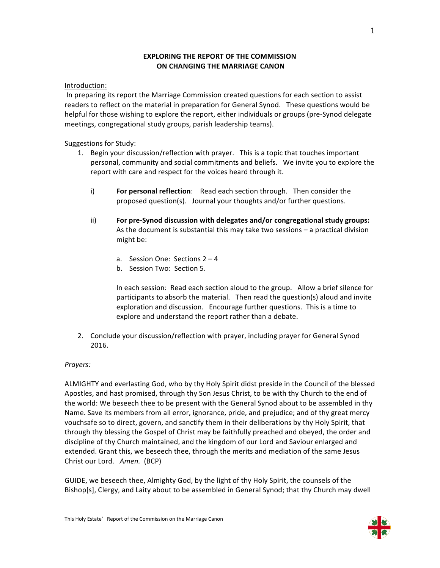# **EXPLORING THE REPORT OF THE COMMISSION ON CHANGING THE MARRIAGE CANON**

## Introduction:

In preparing its report the Marriage Commission created questions for each section to assist readers to reflect on the material in preparation for General Synod. These questions would be helpful for those wishing to explore the report, either individuals or groups (pre-Synod delegate meetings, congregational study groups, parish leadership teams).

# Suggestions for Study:

- 1. Begin your discussion/reflection with prayer. This is a topic that touches important personal, community and social commitments and beliefs. We invite you to explore the report with care and respect for the voices heard through it.
	- i) **For personal reflection**: Read each section through. Then consider the proposed question(s). Journal your thoughts and/or further questions.
	- ii) For pre-Synod discussion with delegates and/or congregational study groups: As the document is substantial this may take two sessions  $-$  a practical division might be:
		- a. Session One: Sections  $2 4$
		- b. Session Two: Section 5.

In each session: Read each section aloud to the group. Allow a brief silence for participants to absorb the material. Then read the question(s) aloud and invite exploration and discussion. Encourage further questions. This is a time to explore and understand the report rather than a debate.

2. Conclude your discussion/reflection with prayer, including prayer for General Synod 2016. 

## *Prayers:*

ALMIGHTY and everlasting God, who by thy Holy Spirit didst preside in the Council of the blessed Apostles, and hast promised, through thy Son Jesus Christ, to be with thy Church to the end of the world: We beseech thee to be present with the General Synod about to be assembled in thy Name. Save its members from all error, ignorance, pride, and prejudice; and of thy great mercy vouchsafe so to direct, govern, and sanctify them in their deliberations by thy Holy Spirit, that through thy blessing the Gospel of Christ may be faithfully preached and obeyed, the order and discipline of thy Church maintained, and the kingdom of our Lord and Saviour enlarged and extended. Grant this, we beseech thee, through the merits and mediation of the same Jesus Christ our Lord. Amen. (BCP)

GUIDE, we beseech thee, Almighty God, by the light of thy Holy Spirit, the counsels of the Bishop[s], Clergy, and Laity about to be assembled in General Synod; that thy Church may dwell

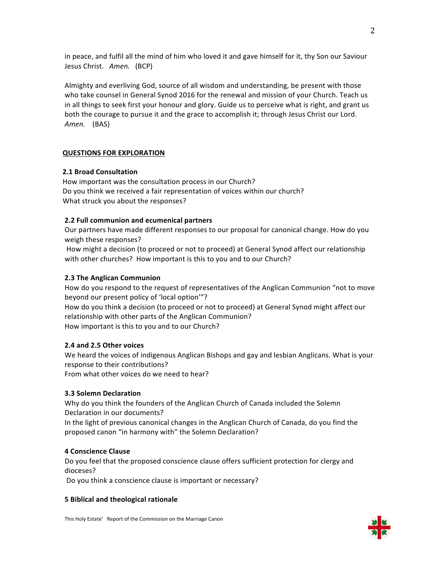in peace, and fulfil all the mind of him who loved it and gave himself for it, thy Son our Saviour Jesus Christ. Amen. (BCP)

Almighty and everliving God, source of all wisdom and understanding, be present with those who take counsel in General Synod 2016 for the renewal and mission of your Church. Teach us in all things to seek first your honour and glory. Guide us to perceive what is right, and grant us both the courage to pursue it and the grace to accomplish it; through Jesus Christ our Lord. *Amen.* (BAS)

## **QUESTIONS FOR EXPLORATION**

## **2.1 Broad Consultation**

How important was the consultation process in our Church? Do you think we received a fair representation of voices within our church? What struck you about the responses?

# **2.2 Full communion and ecumenical partners**

Our partners have made different responses to our proposal for canonical change. How do you weigh these responses?

How might a decision (to proceed or not to proceed) at General Synod affect our relationship with other churches? How important is this to you and to our Church?

# **2.3 The Anglican Communion**

How do you respond to the request of representatives of the Anglican Communion "not to move beyond our present policy of 'local option'"? How do you think a decision (to proceed or not to proceed) at General Synod might affect our relationship with other parts of the Anglican Communion?

How important is this to you and to our Church?

## **2.4 and 2.5 Other voices**

We heard the voices of indigenous Anglican Bishops and gay and lesbian Anglicans. What is your response to their contributions?

From what other voices do we need to hear?

## **3.3 Solemn Declaration**

Why do you think the founders of the Anglican Church of Canada included the Solemn Declaration in our documents?

In the light of previous canonical changes in the Anglican Church of Canada, do you find the proposed canon "in harmony with" the Solemn Declaration?

## **4 Conscience Clause**

Do you feel that the proposed conscience clause offers sufficient protection for clergy and dioceses?

Do you think a conscience clause is important or necessary?

## **5 Biblical and theological rationale**

This Holy Estate' Report of the Commission on the Marriage Canon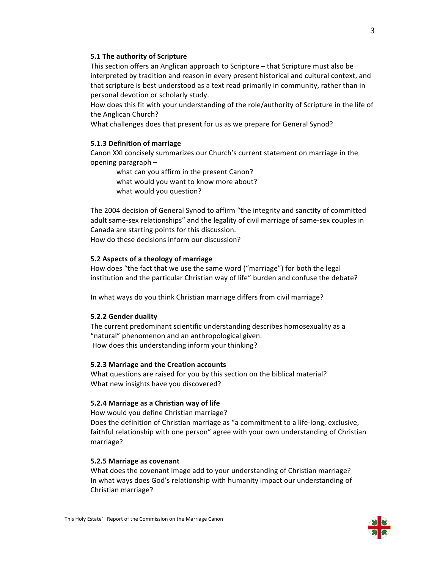#### **5.1 The authority of Scripture**

This section offers an Anglican approach to Scripture – that Scripture must also be interpreted by tradition and reason in every present historical and cultural context, and that scripture is best understood as a text read primarily in community, rather than in personal devotion or scholarly study.

How does this fit with your understanding of the role/authority of Scripture in the life of the Anglican Church?

What challenges does that present for us as we prepare for General Synod?

## **5.1.3 Definition of marriage**

Canon XXI concisely summarizes our Church's current statement on marriage in the opening paragraph  $-$ 

what can you affirm in the present Canon? what would you want to know more about? what would you question?

The 2004 decision of General Synod to affirm "the integrity and sanctity of committed adult same-sex relationships" and the legality of civil marriage of same-sex couples in Canada are starting points for this discussion.

How do these decisions inform our discussion?

## **5.2 Aspects of a theology of marriage**

How does "the fact that we use the same word ("marriage") for both the legal institution and the particular Christian way of life" burden and confuse the debate?

In what ways do you think Christian marriage differs from civil marriage?

## **5.2.2 Gender duality**

The current predominant scientific understanding describes homosexuality as a "natural" phenomenon and an anthropological given. How does this understanding inform your thinking?

#### **5.2.3 Marriage and the Creation accounts**

What questions are raised for you by this section on the biblical material? What new insights have you discovered?

#### **5.2.4 Marriage as a Christian way of life**

How would you define Christian marriage? Does the definition of Christian marriage as "a commitment to a life-long, exclusive, faithful relationship with one person" agree with your own understanding of Christian marriage?

#### **5.2.5 Marriage as covenant**

What does the covenant image add to your understanding of Christian marriage? In what ways does God's relationship with humanity impact our understanding of Christian marriage?